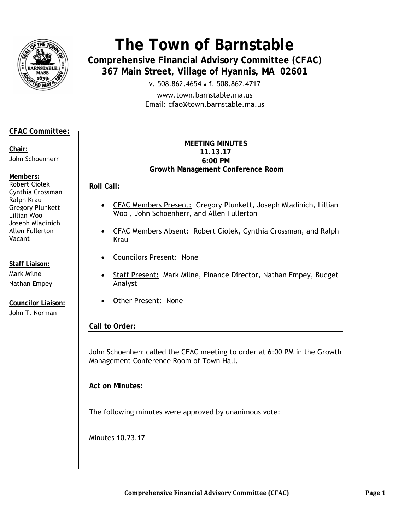

# **The Town of Barnstable**

**Comprehensive Financial Advisory Committee (CFAC) 367 Main Street, Village of Hyannis, MA 02601** 

v. 508.862.4654 • f. 508.862.4717

www.town.barnstable.ma.us Email: cfac@town.barnstable.ma.us

# **CFAC Committee:**

**Chair:**  John Schoenherr

**Members:**  Robert Ciolek Cynthia Crossman Ralph Krau Gregory Plunkett Lillian Woo Joseph Mladinich Allen Fullerton Vacant

**Staff Liaison:**  Mark Milne Nathan Empey

**Councilor Liaison:**  John T. Norman

#### **MEETING MINUTES 11.13.17 6:00 PM Growth Management Conference Room**

**Roll Call:** 

- CFAC Members Present: Gregory Plunkett, Joseph Mladinich, Lillian Woo , John Schoenherr, and Allen Fullerton
- CFAC Members Absent: Robert Ciolek, Cynthia Crossman, and Ralph Krau
- Councilors Present:None
- Staff Present: Mark Milne, Finance Director, Nathan Empey, Budget Analyst
- Other Present: None

**Call to Order:** 

John Schoenherr called the CFAC meeting to order at 6:00 PM in the Growth Management Conference Room of Town Hall.

**Act on Minutes:** 

The following minutes were approved by unanimous vote:

Minutes 10.23.17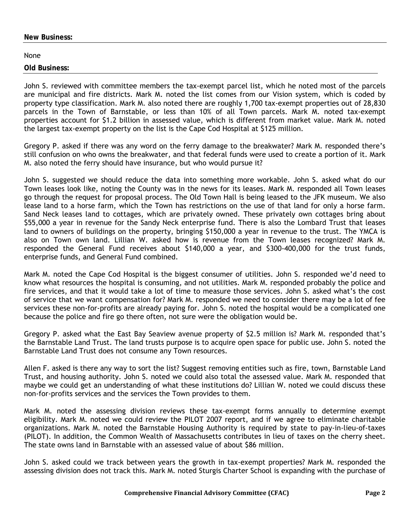#### **New Business:**

#### None

#### **Old Business:**

John S. reviewed with committee members the tax-exempt parcel list, which he noted most of the parcels are municipal and fire districts. Mark M. noted the list comes from our Vision system, which is coded by property type classification. Mark M. also noted there are roughly 1,700 tax-exempt properties out of 28,830 parcels in the Town of Barnstable, or less than 10% of all Town parcels. Mark M. noted tax-exempt properties account for \$1.2 billion in assessed value, which is different from market value. Mark M. noted the largest tax-exempt property on the list is the Cape Cod Hospital at \$125 million.

Gregory P. asked if there was any word on the ferry damage to the breakwater? Mark M. responded there's still confusion on who owns the breakwater, and that federal funds were used to create a portion of it. Mark M. also noted the ferry should have insurance, but who would pursue it?

John S. suggested we should reduce the data into something more workable. John S. asked what do our Town leases look like, noting the County was in the news for its leases. Mark M. responded all Town leases go through the request for proposal process. The Old Town Hall is being leased to the JFK museum. We also lease land to a horse farm, which the Town has restrictions on the use of that land for only a horse farm. Sand Neck leases land to cottages, which are privately owned. These privately own cottages bring about \$55,000 a year in revenue for the Sandy Neck enterprise fund. There is also the Lombard Trust that leases land to owners of buildings on the property, bringing \$150,000 a year in revenue to the trust. The YMCA is also on Town own land. Lillian W. asked how is revenue from the Town leases recognized? Mark M. responded the General Fund receives about \$140,000 a year, and \$300-400,000 for the trust funds, enterprise funds, and General Fund combined.

Mark M. noted the Cape Cod Hospital is the biggest consumer of utilities. John S. responded we'd need to know what resources the hospital is consuming, and not utilities. Mark M. responded probably the police and fire services, and that it would take a lot of time to measure those services. John S. asked what's the cost of service that we want compensation for? Mark M. responded we need to consider there may be a lot of fee services these non-for-profits are already paying for. John S. noted the hospital would be a complicated one because the police and fire go there often, not sure were the obligation would be.

Gregory P. asked what the East Bay Seaview avenue property of \$2.5 million is? Mark M. responded that's the Barnstable Land Trust. The land trusts purpose is to acquire open space for public use. John S. noted the Barnstable Land Trust does not consume any Town resources.

Allen F. asked is there any way to sort the list? Suggest removing entities such as fire, town, Barnstable Land Trust, and housing authority. John S. noted we could also total the assessed value. Mark M. responded that maybe we could get an understanding of what these institutions do? Lillian W. noted we could discuss these non-for-profits services and the services the Town provides to them.

Mark M. noted the assessing division reviews these tax-exempt forms annually to determine exempt eligibility. Mark M. noted we could review the PILOT 2007 report, and if we agree to eliminate charitable organizations. Mark M. noted the Barnstable Housing Authority is required by state to pay-in-lieu-of-taxes (PILOT). In addition, the Common Wealth of Massachusetts contributes in lieu of taxes on the cherry sheet. The state owns land in Barnstable with an assessed value of about \$86 million.

John S. asked could we track between years the growth in tax-exempt properties? Mark M. responded the assessing division does not track this. Mark M. noted Sturgis Charter School is expanding with the purchase of